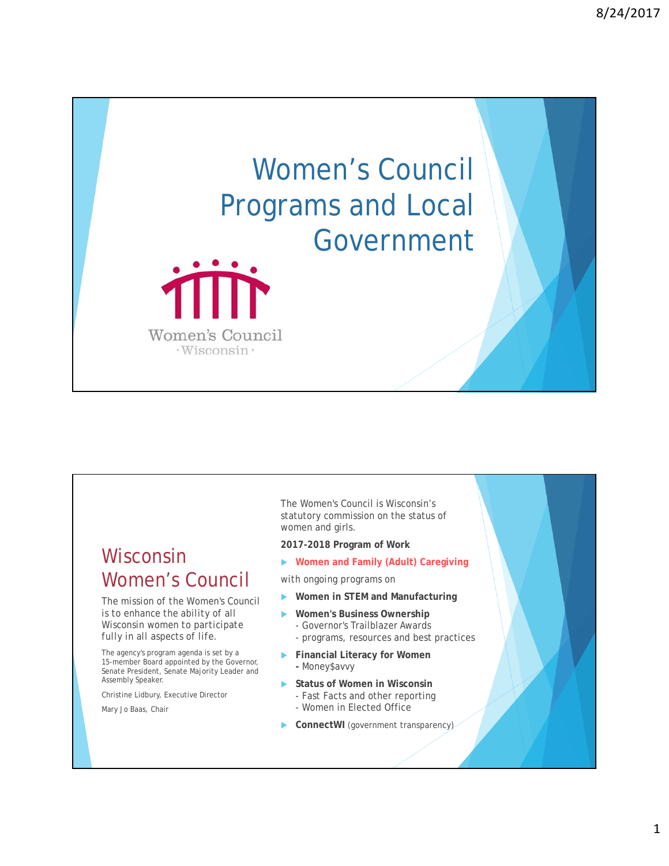



## Wisconsin Women's Council

*The mission of the Women's Council is to enhance the ability of all Wisconsin women to participate fully in all aspects of life.*

The agency's program agenda is set by a 15-member Board appointed by the Governor, Senate President, Senate Majority Leader and Assembly Speaker.

Christine Lidbury, Executive Director

Mary Jo Baas, Chair

The Women's Council is Wisconsin's statutory commission on the status of women and girls.

**2017-2018 Program of Work**

**Women and Family (Adult) Caregiving**

*with ongoing programs on*

- **Women in STEM and Manufacturing**
- **Women's Business Ownership**  - Governor's Trailblazer Awards
	- programs, resources and best practices
- **Financial Literacy for Women -** Money\$avvy
- **Status of Women in Wisconsin**
	- Fast Facts and other reporting
	- Women in Elected Office
- **ConnectWI** (government transparency)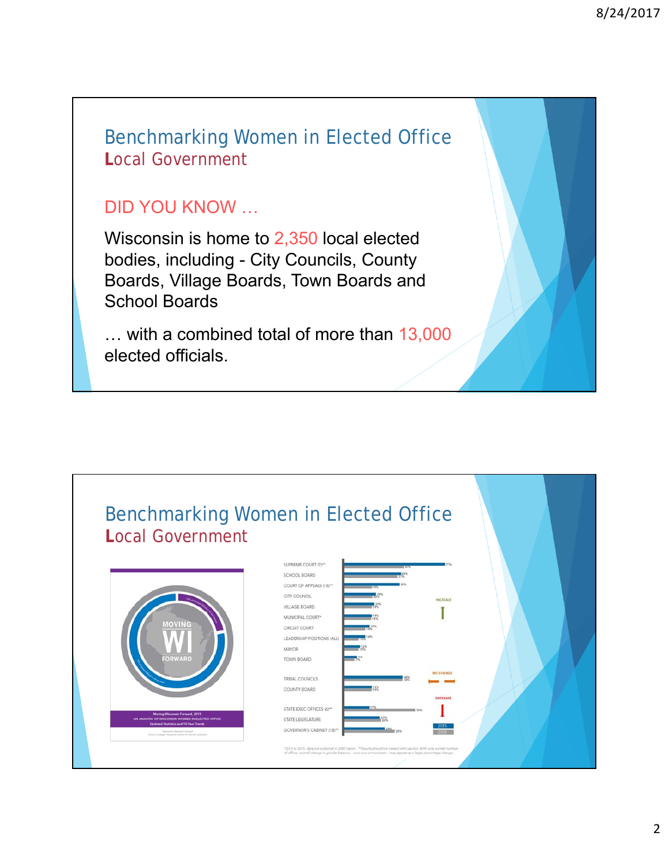### Benchmarking Women in Elected Office **L**ocal Government

### DID YOU KNOW …

Wisconsin is home to 2,350 local elected bodies, including - City Councils, County Boards, Village Boards, Town Boards and School Boards

… with a combined total of more than 13,000 elected officials.

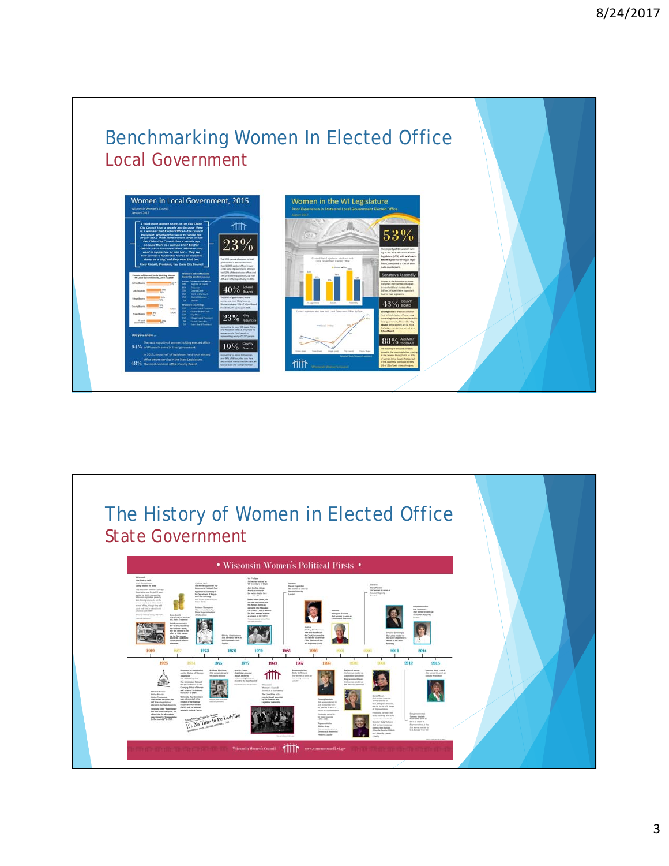

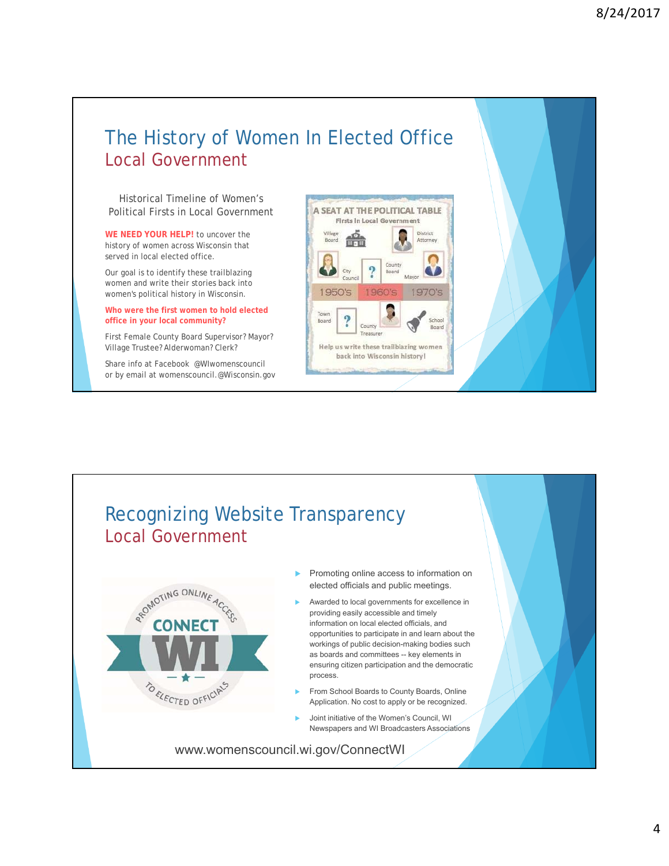### The History of Women In Elected Office Local Government

Historical Timeline of Women's Political Firsts in Local Government

**WE NEED YOUR HELP!** to uncover the history of women across Wisconsin that served in local elected office.

Our goal is to identify these trailblazing women and write their stories back into women's political history in Wisconsin.

#### **Who were the first women to hold elected office in your local community?**

First Female County Board Supervisor? Mayor? Village Trustee? Alderwoman? Clerk?

Share info at Facebook @WIwomenscouncil or by email at womenscouncil.@Wisconsin.gov



# Recognizing Website Transparency Local Government



- Promoting online access to information on elected officials and public meetings.
- Awarded to local governments for excellence in providing easily accessible and timely information on local elected officials, and opportunities to participate in and learn about the workings of public decision-making bodies such as boards and committees -- key elements in ensuring citizen participation and the democratic process.
- From School Boards to County Boards, Online Application. No cost to apply or be recognized.
- Joint initiative of the Women's Council, WI Newspapers and WI Broadcasters Associations

www.womenscouncil.wi.gov/ConnectWI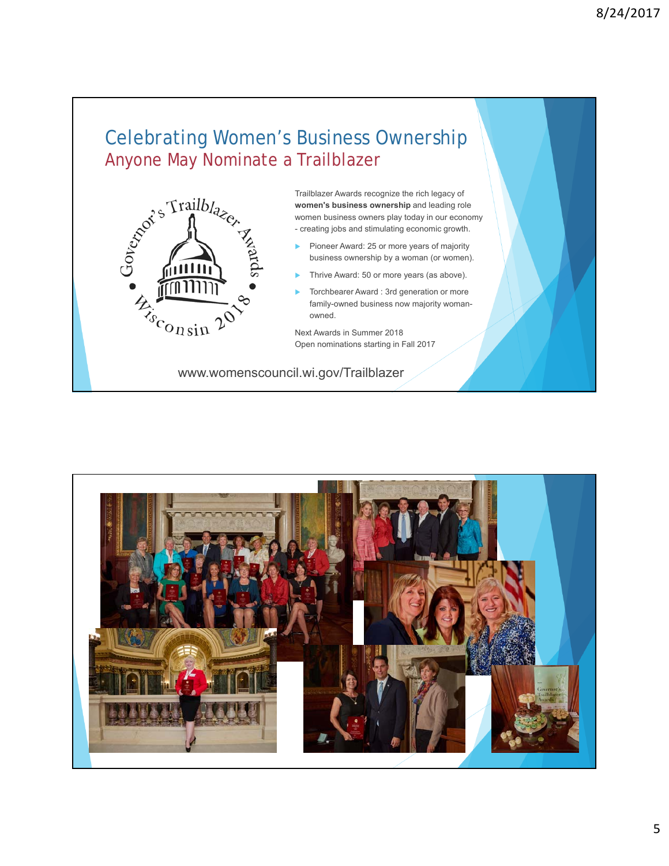## Celebrating Women's Business Ownership Anyone May Nominate a Trailblazer